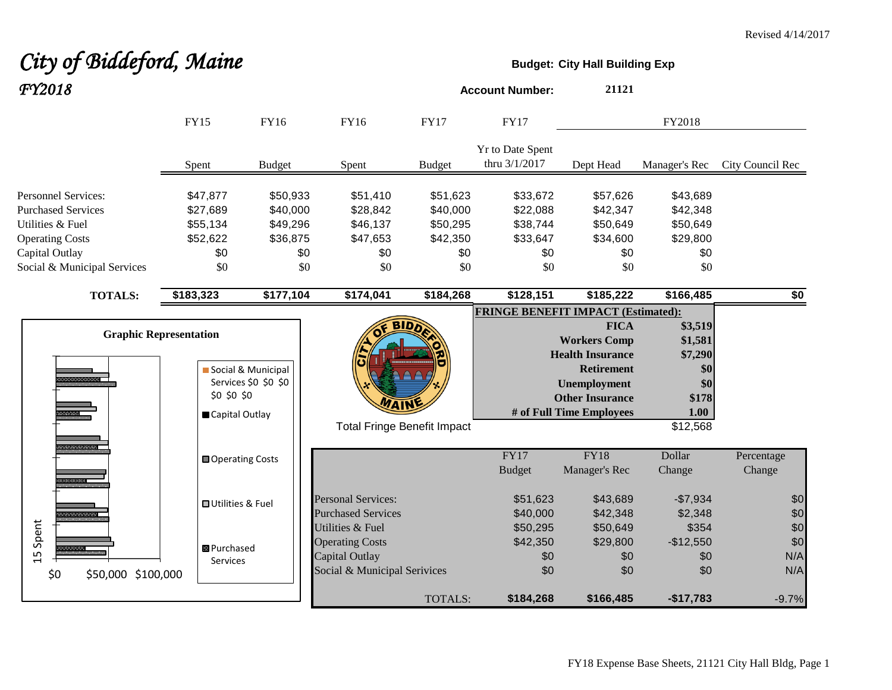# City of Biddeford, Maine **Budget:** City Hall Building Exp *FY2018* **Account Number: <sup>21121</sup>**

|                                                                                                                                                        | <b>FY15</b>                                                    | <b>FY16</b>                                                | <b>FY16</b>                                                                                  | <b>FY17</b>                                                | <b>FY17</b>                                                |                                                                                                                                                                 | FY2018                                                                   |                          |
|--------------------------------------------------------------------------------------------------------------------------------------------------------|----------------------------------------------------------------|------------------------------------------------------------|----------------------------------------------------------------------------------------------|------------------------------------------------------------|------------------------------------------------------------|-----------------------------------------------------------------------------------------------------------------------------------------------------------------|--------------------------------------------------------------------------|--------------------------|
|                                                                                                                                                        | Spent                                                          | <b>Budget</b>                                              | Spent                                                                                        | <b>Budget</b>                                              | Yr to Date Spent<br>thru 3/1/2017                          | Dept Head                                                                                                                                                       | Manager's Rec                                                            | City Council Rec         |
| <b>Personnel Services:</b><br><b>Purchased Services</b><br>Utilities & Fuel<br><b>Operating Costs</b><br>Capital Outlay<br>Social & Municipal Services | \$47,877<br>\$27,689<br>\$55,134<br>\$52,622<br>\$0<br>\$0     | \$50,933<br>\$40,000<br>\$49,296<br>\$36,875<br>\$0<br>\$0 | \$51,410<br>\$28,842<br>\$46,137<br>\$47,653<br>\$0<br>\$0                                   | \$51,623<br>\$40,000<br>\$50,295<br>\$42,350<br>\$0<br>\$0 | \$33,672<br>\$22,088<br>\$38,744<br>\$33,647<br>\$0<br>\$0 | \$57,626<br>\$42,347<br>\$50,649<br>\$34,600<br>\$0<br>\$0                                                                                                      | \$43,689<br>\$42,348<br>\$50,649<br>\$29,800<br>\$0<br>\$0               |                          |
| <b>TOTALS:</b>                                                                                                                                         | \$183,323                                                      | \$177,104                                                  | \$174,041                                                                                    | \$184,268                                                  | \$128,151                                                  | \$185,222                                                                                                                                                       | \$166,485                                                                | $\overline{50}$          |
| <u>mamana</u>                                                                                                                                          | <b>Graphic Representation</b><br>\$0 \$0 \$0<br>Capital Outlay | Social & Municipal<br>Services \$0 \$0 \$0                 | <b>Total Fringe Benefit Impact</b>                                                           | <b>BIDA</b>                                                | <b>FRINGE BENEFIT IMPACT (Estimated):</b>                  | <b>FICA</b><br><b>Workers Comp</b><br><b>Health Insurance</b><br><b>Retirement</b><br><b>Unemployment</b><br><b>Other Insurance</b><br># of Full Time Employees | \$3,519<br>\$1,581<br>\$7,290<br>\$0<br>\$0<br>\$178<br>1.00<br>\$12,568 |                          |
| 10000000000<br><b>mana</b>                                                                                                                             | <b>□</b> Operating Costs                                       |                                                            |                                                                                              |                                                            | FY17<br><b>Budget</b>                                      | $\overline{FY18}$<br>Manager's Rec                                                                                                                              | Dollar<br>Change                                                         | Percentage<br>Change     |
|                                                                                                                                                        | <b>□</b> Utilities & Fuel                                      |                                                            | <b>Personal Services:</b><br><b>Purchased Services</b>                                       |                                                            | \$51,623<br>\$40,000                                       | \$43,689<br>\$42,348                                                                                                                                            | $-$7,934$<br>\$2,348                                                     | \$0<br>\$0               |
| 15 Spent<br>\$0<br>\$50,000 \$100,000                                                                                                                  | 图 Purchased<br>Services                                        |                                                            | Utilities & Fuel<br><b>Operating Costs</b><br>Capital Outlay<br>Social & Municipal Serivices |                                                            | \$50,295<br>\$42,350<br>\$0<br>\$0                         | \$50,649<br>\$29,800<br>\$0<br>\$0                                                                                                                              | \$354<br>$-$12,550$<br>\$0<br>\$0                                        | \$0<br>\$0<br>N/A<br>N/A |
|                                                                                                                                                        |                                                                |                                                            |                                                                                              | TOTALS:                                                    | \$184,268                                                  | \$166,485                                                                                                                                                       | $-$17,783$                                                               | $-9.7%$                  |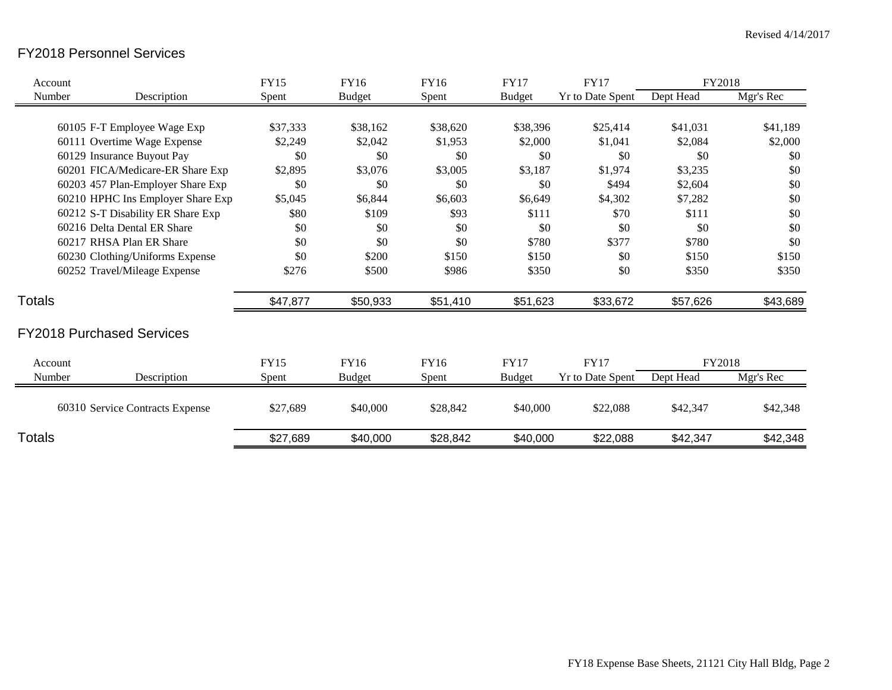## FY2018 Personnel Services

| Account       |                                   | <b>FY15</b> | <b>FY16</b>   | FY16     | <b>FY17</b>   | <b>FY17</b>             | FY2018    |           |
|---------------|-----------------------------------|-------------|---------------|----------|---------------|-------------------------|-----------|-----------|
| Number        | Description                       | Spent       | <b>Budget</b> | Spent    | <b>Budget</b> | <b>Yr to Date Spent</b> | Dept Head | Mgr's Rec |
|               |                                   |             |               |          |               |                         |           |           |
|               | 60105 F-T Employee Wage Exp       | \$37,333    | \$38,162      | \$38,620 | \$38,396      | \$25,414                | \$41,031  | \$41,189  |
|               | 60111 Overtime Wage Expense       | \$2,249     | \$2,042       | \$1,953  | \$2,000       | \$1,041                 | \$2,084   | \$2,000   |
|               | 60129 Insurance Buyout Pay        | \$0         | \$0           | \$0      | \$0           | \$0                     | \$0       | \$0       |
|               | 60201 FICA/Medicare-ER Share Exp  | \$2,895     | \$3,076       | \$3,005  | \$3,187       | \$1,974                 | \$3,235   | \$0       |
|               | 60203 457 Plan-Employer Share Exp | \$0         | \$0           | \$0      | \$0           | \$494                   | \$2,604   | \$0       |
|               | 60210 HPHC Ins Employer Share Exp | \$5,045     | \$6,844       | \$6,603  | \$6,649       | \$4,302                 | \$7,282   | \$0       |
|               | 60212 S-T Disability ER Share Exp | \$80        | \$109         | \$93     | \$111         | \$70                    | \$111     | \$0       |
|               | 60216 Delta Dental ER Share       | \$0         | \$0           | \$0      | \$0           | \$0                     | \$0       | \$0       |
|               | 60217 RHSA Plan ER Share          | \$0         | \$0           | \$0      | \$780         | \$377                   | \$780     | \$0       |
|               | 60230 Clothing/Uniforms Expense   | \$0         | \$200         | \$150    | \$150         | \$0                     | \$150     | \$150     |
|               | 60252 Travel/Mileage Expense      | \$276       | \$500         | \$986    | \$350         | \$0                     | \$350     | \$350     |
| Totals        |                                   | \$47,877    | \$50,933      | \$51,410 | \$51,623      | \$33,672                | \$57,626  | \$43,689  |
|               | <b>FY2018 Purchased Services</b>  |             |               |          |               |                         |           |           |
| Account       |                                   | <b>FY15</b> | FY16          | FY16     | <b>FY17</b>   | <b>FY17</b>             | FY2018    |           |
| Number        | Description                       | Spent       | <b>Budget</b> | Spent    | <b>Budget</b> | Yr to Date Spent        | Dept Head | Mgr's Rec |
|               | 60310 Service Contracts Expense   | \$27,689    | \$40,000      | \$28,842 | \$40,000      | \$22,088                | \$42,347  | \$42,348  |
| <b>Totals</b> |                                   | \$27,689    | \$40,000      | \$28,842 | \$40,000      | \$22,088                | \$42,347  | \$42,348  |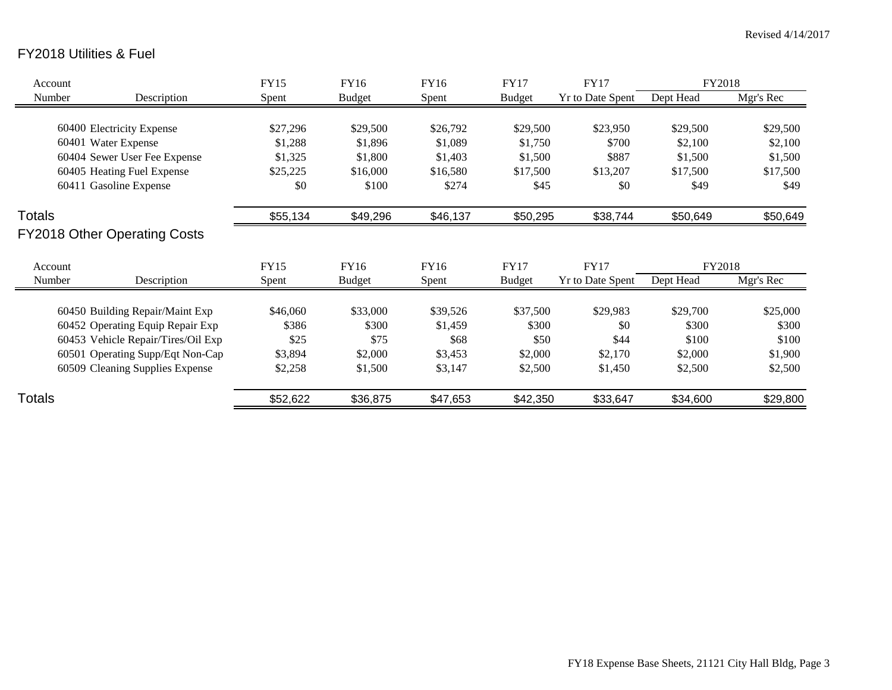# FY2018 Utilities & Fuel

| Account |                                     | <b>FY15</b> | FY16          | FY16     | <b>FY17</b>   | <b>FY17</b>      | FY2018    |           |
|---------|-------------------------------------|-------------|---------------|----------|---------------|------------------|-----------|-----------|
| Number  | Description                         | Spent       | <b>Budget</b> | Spent    | <b>Budget</b> | Yr to Date Spent | Dept Head | Mgr's Rec |
|         |                                     |             |               |          |               |                  |           |           |
|         | 60400 Electricity Expense           | \$27,296    | \$29,500      | \$26,792 | \$29,500      | \$23,950         | \$29,500  | \$29,500  |
|         | 60401 Water Expense                 | \$1,288     | \$1,896       | \$1,089  | \$1,750       | \$700            | \$2,100   | \$2,100   |
|         | 60404 Sewer User Fee Expense        | \$1,325     | \$1,800       | \$1,403  | \$1,500       | \$887            | \$1,500   | \$1,500   |
|         | 60405 Heating Fuel Expense          | \$25,225    | \$16,000      | \$16,580 | \$17,500      | \$13,207         | \$17,500  | \$17,500  |
|         | 60411 Gasoline Expense              | \$0         | \$100         | \$274    | \$45          | \$0              | \$49      | \$49      |
| Totals  |                                     | \$55,134    | \$49,296      | \$46,137 | \$50,295      | \$38,744         | \$50,649  | \$50,649  |
|         | <b>FY2018 Other Operating Costs</b> |             |               |          |               |                  |           |           |
| Account |                                     | <b>FY15</b> | FY16          | FY16     | <b>FY17</b>   | <b>FY17</b>      | FY2018    |           |
| Number  | Description                         | Spent       | <b>Budget</b> | Spent    | <b>Budget</b> | Yr to Date Spent | Dept Head | Mgr's Rec |
|         | 60450 Building Repair/Maint Exp     | \$46,060    | \$33,000      | \$39,526 | \$37,500      | \$29,983         | \$29,700  | \$25,000  |
|         | 60452 Operating Equip Repair Exp    | \$386       | \$300         | \$1,459  | \$300         | \$0              | \$300     | \$300     |
|         | 60453 Vehicle Repair/Tires/Oil Exp  | \$25        | \$75          | \$68     | \$50          | \$44             | \$100     | \$100     |
|         | 60501 Operating Supp/Eqt Non-Cap    | \$3,894     | \$2,000       | \$3,453  | \$2,000       | \$2,170          | \$2,000   | \$1,900   |
|         | 60509 Cleaning Supplies Expense     | \$2,258     | \$1,500       | \$3,147  | \$2,500       | \$1,450          | \$2,500   | \$2,500   |
| Totals  |                                     | \$52,622    | \$36,875      | \$47,653 | \$42,350      | \$33,647         | \$34,600  | \$29,800  |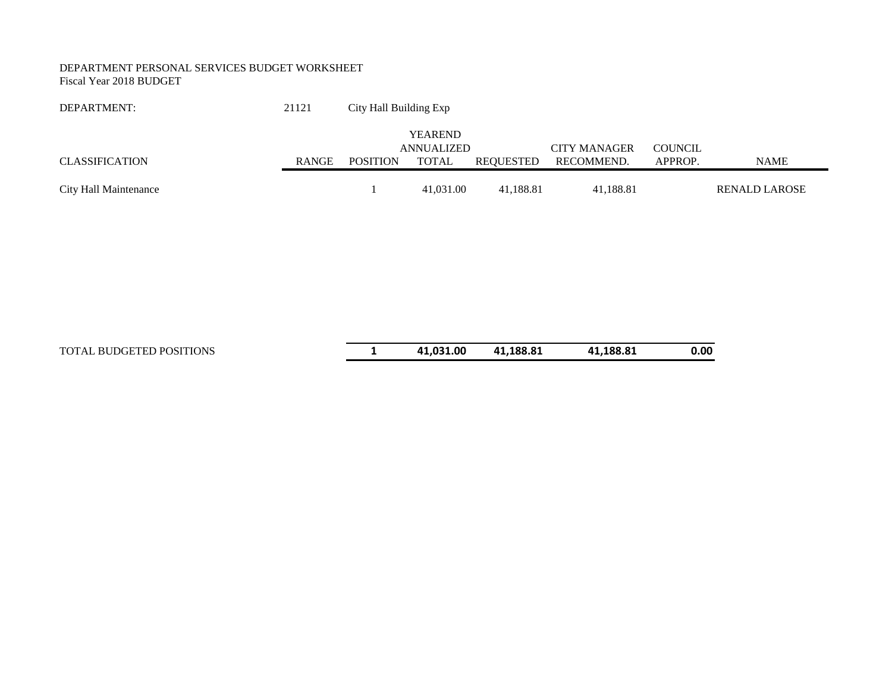#### DEPARTMENT PERSONAL SERVICES BUDGET WORKSHEET Fiscal Year 2018 BUDGET

| DEPARTMENT:           | 21121        | City Hall Building Exp |                |           |                     |                |                      |
|-----------------------|--------------|------------------------|----------------|-----------|---------------------|----------------|----------------------|
|                       |              |                        | <b>YEAREND</b> |           |                     |                |                      |
|                       |              |                        | ANNUALIZED     |           | <b>CITY MANAGER</b> | <b>COUNCIL</b> |                      |
| <b>CLASSIFICATION</b> | <b>RANGE</b> | <b>POSITION</b>        | TOTAL          | REQUESTED | RECOMMEND.          | APPROP.        | <b>NAME</b>          |
|                       |              |                        |                |           |                     |                |                      |
| City Hall Maintenance |              |                        | 41,031.00      | 41.188.81 | 41,188.81           |                | <b>RENALD LAROSE</b> |

TOTAL BUDGETED POSITIONS **1 41,031.00 41,188.81 41,188.81 0.00**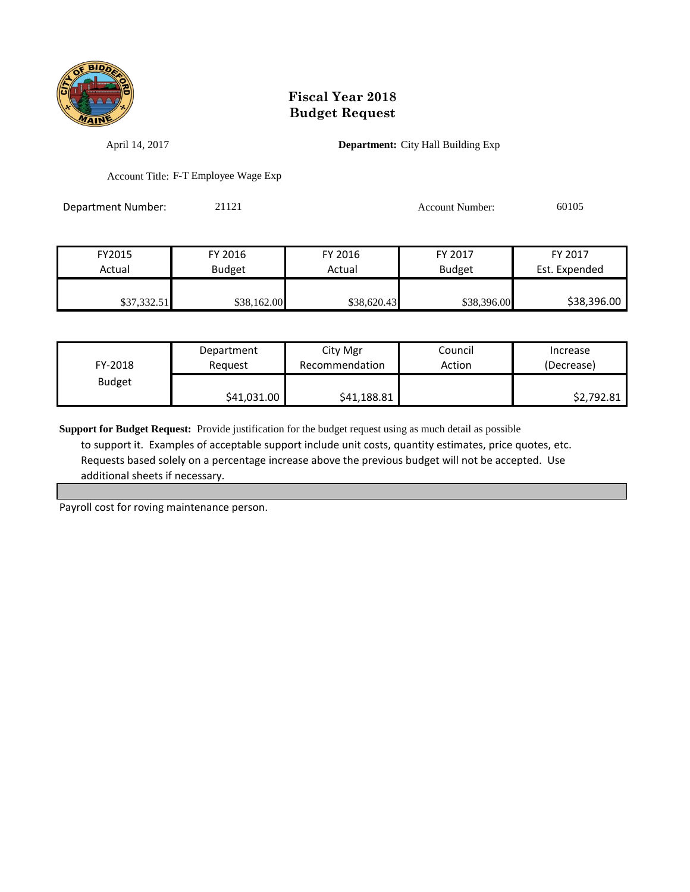

April 14, 2017 **Department:** City Hall Building Exp

Account Title: F-T Employee Wage Exp

Department Number: 21121 21121 Account Number: 60105

FY2015 FY 2016 FY 2016 FY 2017 FY 2017 Actual | Budget | Actual | Budget Est. Expended \$37,332.51 \$38,162.00 \$38,620.43 \$38,396.00 \$38,396.00

| FY-2018       | Department  | City Mgr       | Council | Increase   |
|---------------|-------------|----------------|---------|------------|
|               | Reauest     | Recommendation | Action  | (Decrease) |
| <b>Budget</b> | \$41,031.00 | \$41,188.81    |         | \$2,792.81 |

**Support for Budget Request:** Provide justification for the budget request using as much detail as possible to support it. Examples of acceptable support include unit costs, quantity estimates, price quotes, etc. Requests based solely on a percentage increase above the previous budget will not be accepted. Use additional sheets if necessary.

Payroll cost for roving maintenance person.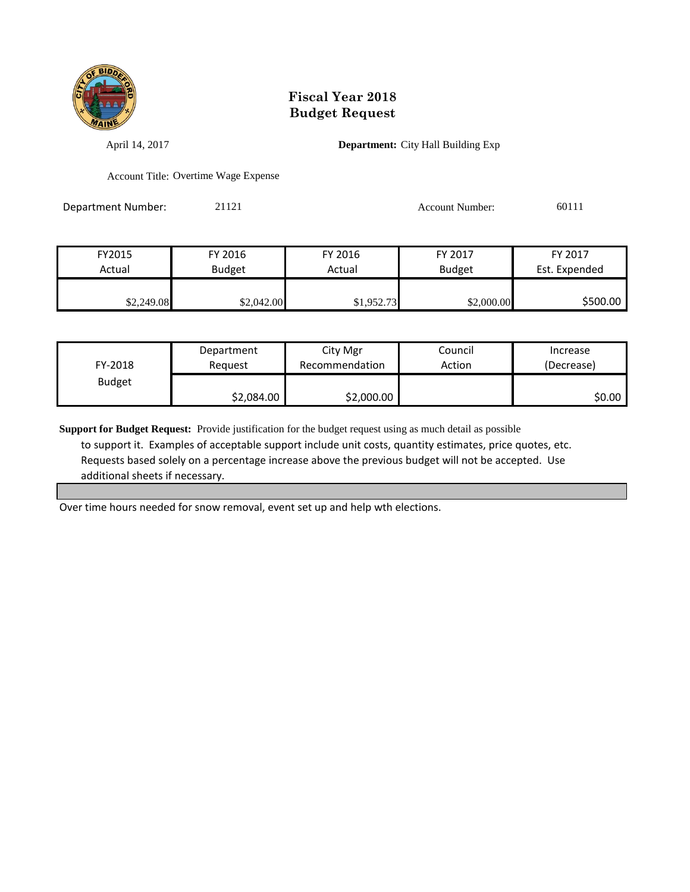

April 14, 2017 **Department:** City Hall Building Exp

Account Title: Overtime Wage Expense

Department Number: 21121 21121 Account Number: 60111

| FY2015     | FY 2016       | FY 2016    | FY 2017       | FY 2017       |
|------------|---------------|------------|---------------|---------------|
| Actual     | <b>Budget</b> | Actual     | <b>Budget</b> | Est. Expended |
|            |               |            |               |               |
| \$2,249.08 | \$2,042.00    | \$1,952.73 | \$2,000.00    | \$500.00      |

| FY-2018       | Department | City Mgr       | Council | Increase   |
|---------------|------------|----------------|---------|------------|
|               | Reauest    | Recommendation | Action  | (Decrease) |
| <b>Budget</b> | \$2,084.00 | \$2,000.00     |         | \$0.00     |

**Support for Budget Request:** Provide justification for the budget request using as much detail as possible to support it. Examples of acceptable support include unit costs, quantity estimates, price quotes, etc. Requests based solely on a percentage increase above the previous budget will not be accepted. Use additional sheets if necessary.

Over time hours needed for snow removal, event set up and help wth elections.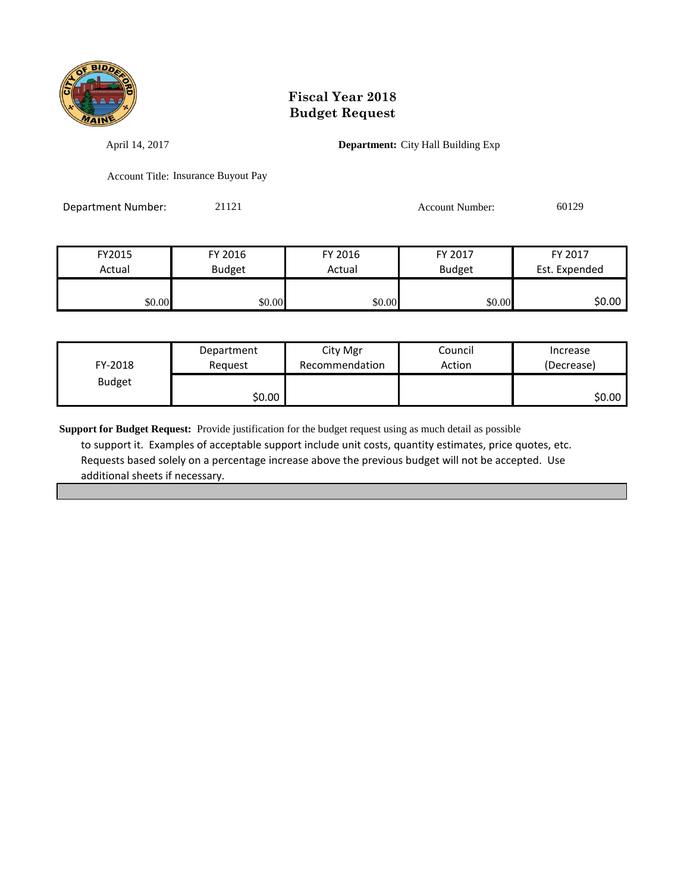

April 14, 2017 **Department:** City Hall Building Exp

Account Title: Insurance Buyout Pay

Department Number: 21121 21121 Account Number: 60129

| FY2015 | FY 2016       | FY 2016 | FY 2017       | FY 2017       |
|--------|---------------|---------|---------------|---------------|
| Actual | <b>Budget</b> | Actual  | <b>Budget</b> | Est. Expended |
|        |               |         |               |               |
| \$0.00 | \$0.00        | \$0.00  | \$0.00        | \$0.00        |

| FY-2018       | Department | City Mgr       | Council | Increase   |
|---------------|------------|----------------|---------|------------|
|               | Reauest    | Recommendation | Action  | (Decrease) |
| <b>Budget</b> | \$0.00     |                |         | \$0.00     |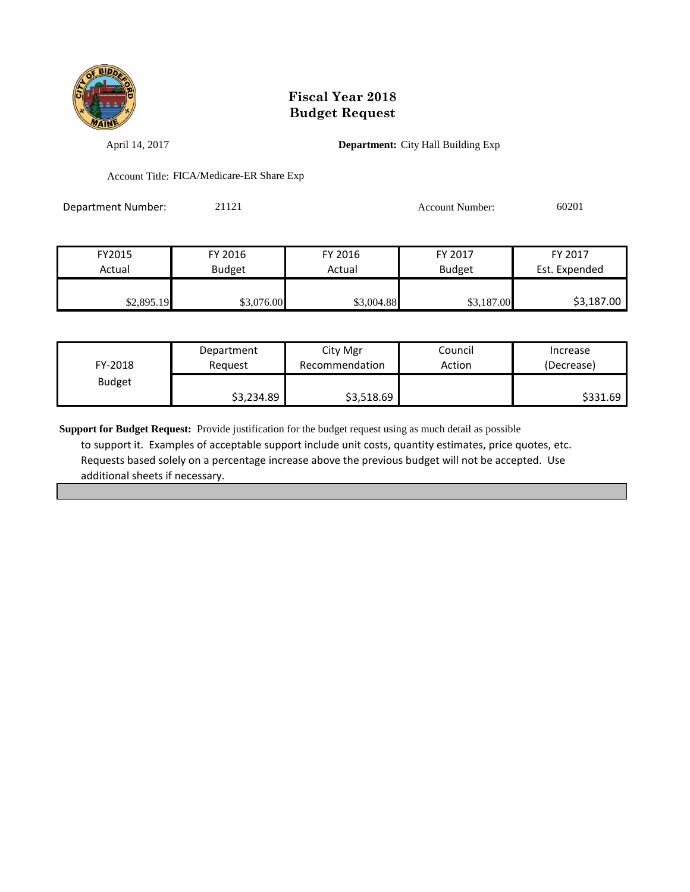

April 14, 2017 **Department:** City Hall Building Exp

Account Title: FICA/Medicare-ER Share Exp

Department Number: 21121 Account Number: 60201

| FY2015     | FY 2016       | FY 2016    | FY 2017       | FY 2017       |
|------------|---------------|------------|---------------|---------------|
| Actual     | <b>Budget</b> | Actual     | <b>Budget</b> | Est. Expended |
|            |               |            |               |               |
| \$2,895.19 | \$3,076.00    | \$3,004.88 | \$3,187.00    | \$3,187.00    |

| FY-2018       | Department | City Mgr       | Council | Increase   |
|---------------|------------|----------------|---------|------------|
|               | Reauest    | Recommendation | Action  | (Decrease) |
| <b>Budget</b> | \$3,234.89 | \$3,518.69     |         | \$331.69   |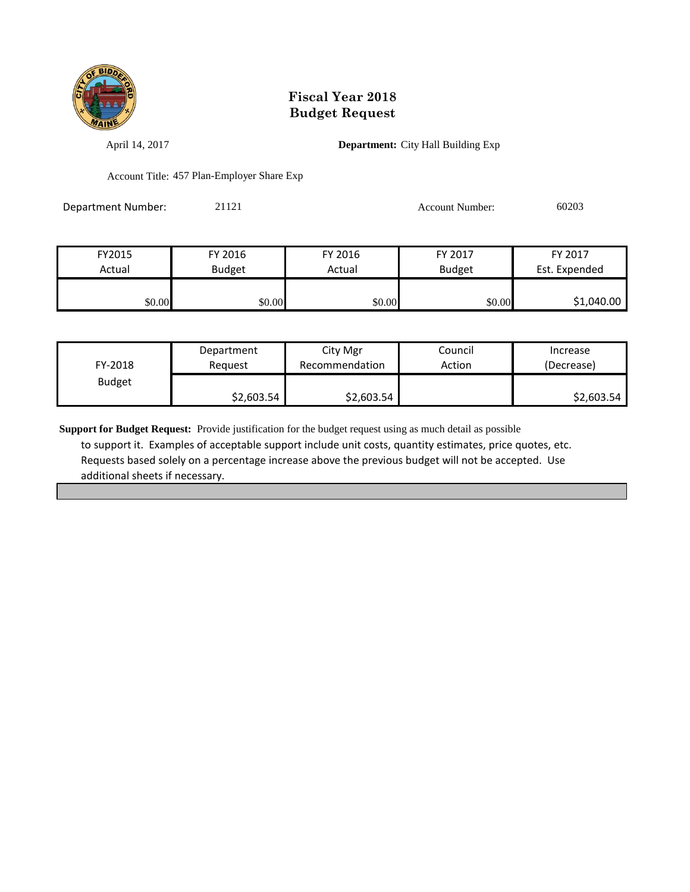

April 14, 2017 **Department:** City Hall Building Exp

Account Title: 457 Plan-Employer Share Exp

| Department Number: | 21121 | Account Number: | 60203 |
|--------------------|-------|-----------------|-------|
|                    |       |                 |       |

| FY2015 | FY 2016       | FY 2016 | FY 2017       | FY 2017       |
|--------|---------------|---------|---------------|---------------|
| Actual | <b>Budget</b> | Actual  | <b>Budget</b> | Est. Expended |
|        |               |         |               |               |
| \$0.00 | \$0.00        | \$0.00  | \$0.00        | \$1,040.00    |

| FY-2018       | Department | City Mgr       | Council | Increase   |
|---------------|------------|----------------|---------|------------|
|               | Reauest    | Recommendation | Action  | (Decrease) |
| <b>Budget</b> | \$2,603.54 | \$2,603.54     |         | \$2,603.54 |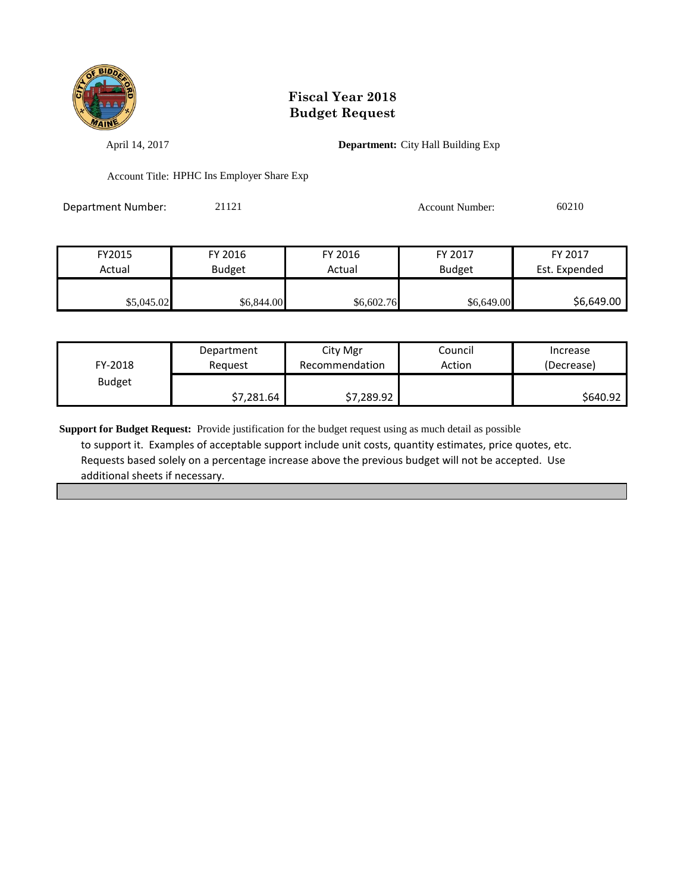

April 14, 2017 **Department:** City Hall Building Exp

Account Title: HPHC Ins Employer Share Exp

Department Number: 21121 21121 Account Number: 60210

| FY2015     | FY 2016       | FY 2016    | FY 2017       | FY 2017       |
|------------|---------------|------------|---------------|---------------|
| Actual     | <b>Budget</b> | Actual     | <b>Budget</b> | Est. Expended |
|            |               |            |               |               |
| \$5,045.02 | \$6,844.00    | \$6,602.76 | \$6,649.00    | \$6,649.00    |

| FY-2018       | Department | City Mgr       | Council | Increase   |
|---------------|------------|----------------|---------|------------|
|               | Reguest    | Recommendation | Action  | (Decrease) |
| <b>Budget</b> | \$7,281.64 | \$7,289.92     |         | \$640.92   |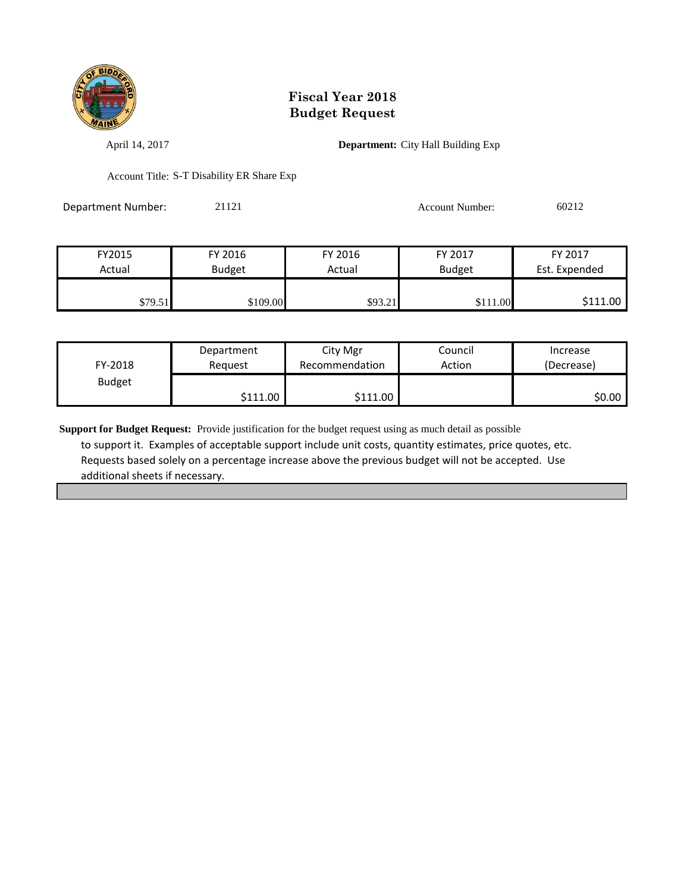

April 14, 2017 **Department:** City Hall Building Exp

Account Title: S-T Disability ER Share Exp

Department Number: 21121 Account Number: 60212

| FY2015  | FY 2016       | FY 2016 | FY 2017       | FY 2017       |
|---------|---------------|---------|---------------|---------------|
| Actual  | <b>Budget</b> | Actual  | <b>Budget</b> | Est. Expended |
|         |               |         |               |               |
| \$79.51 | \$109.00      | \$93.21 | \$111.00      | \$111.00      |

| FY-2018       | Department           | City Mgr       | Council | Increase   |
|---------------|----------------------|----------------|---------|------------|
|               | Reguest              | Recommendation | Action  | (Decrease) |
| <b>Budget</b> | $$111.00$ $\uparrow$ | \$111.00       |         | \$0.00     |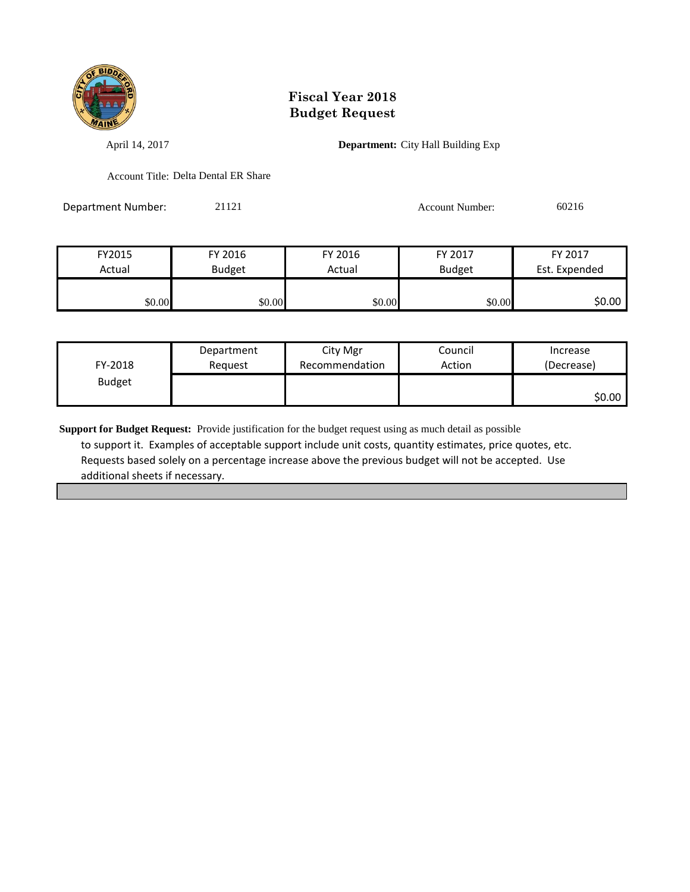

April 14, 2017 **Department:** City Hall Building Exp

Account Title: Delta Dental ER Share

Department Number: 21121 Account Number: 60216

| FY2015 | FY 2016       | FY 2016 | FY 2017       | FY 2017       |
|--------|---------------|---------|---------------|---------------|
| Actual | <b>Budget</b> | Actual  | <b>Budget</b> | Est. Expended |
|        |               |         |               |               |
| \$0.00 | \$0.00        | \$0.00  | \$0.00        | \$0.00        |

| FY-2018       | Department | City Mgr       | Council | Increase   |
|---------------|------------|----------------|---------|------------|
|               | Reguest    | Recommendation | Action  | (Decrease) |
| <b>Budget</b> |            |                |         | \$0.00∣    |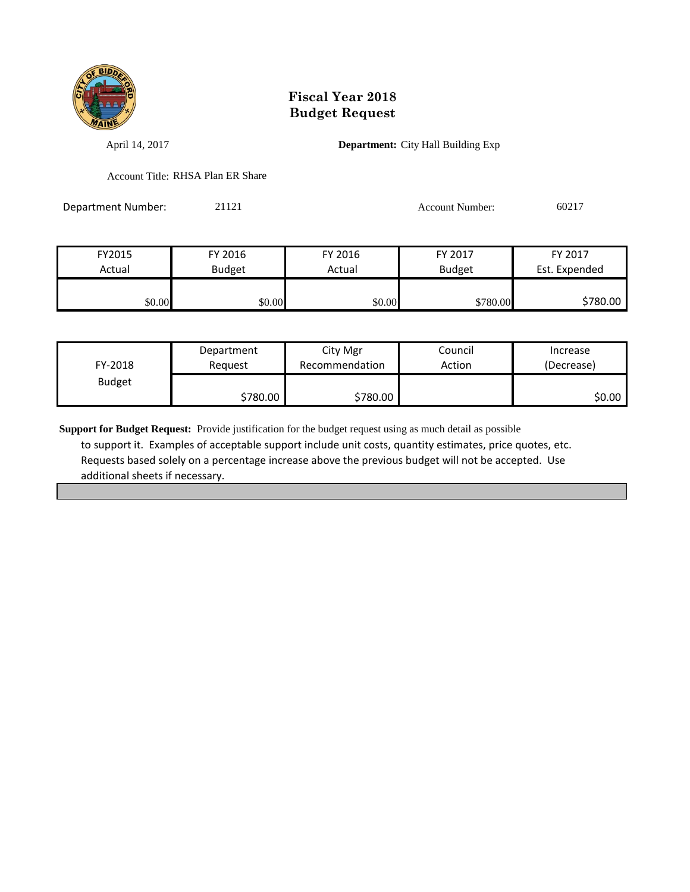

April 14, 2017 **Department:** City Hall Building Exp

Account Title: RHSA Plan ER Share

Department Number: 21121 Account Number: 60217

| FY2015 | FY 2016       | FY 2016 | FY 2017       | FY 2017       |
|--------|---------------|---------|---------------|---------------|
| Actual | <b>Budget</b> | Actual  | <b>Budget</b> | Est. Expended |
|        |               |         |               |               |
| \$0.00 | \$0.00        | \$0.00  | \$780.00      | \$780.00      |

| FY-2018       | Department | City Mgr       | Council | Increase   |
|---------------|------------|----------------|---------|------------|
|               | Reauest    | Recommendation | Action  | (Decrease) |
| <b>Budget</b> | \$780.00   | \$780.00       |         | \$0.00     |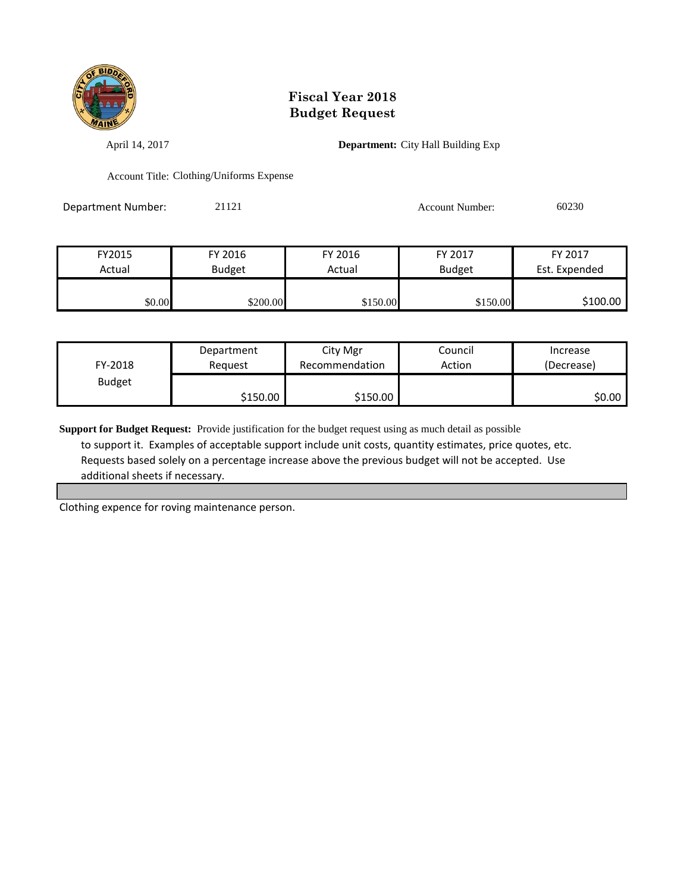

April 14, 2017 **Department:** City Hall Building Exp

Account Title: Clothing/Uniforms Expense

Department Number: 21121 21121 Account Number: 60230

| FY2015 | FY 2016       | FY 2016  | FY 2017       | FY 2017       |
|--------|---------------|----------|---------------|---------------|
| Actual | <b>Budget</b> | Actual   | <b>Budget</b> | Est. Expended |
|        |               |          |               |               |
| \$0.00 | \$200.00      | \$150.00 | \$150.00      | \$100.00      |

| FY-2018       | Department | City Mgr       | Council | Increase   |
|---------------|------------|----------------|---------|------------|
|               | Reauest    | Recommendation | Action  | (Decrease) |
| <b>Budget</b> | \$150.00   | \$150.00       |         | \$0.00     |

**Support for Budget Request:** Provide justification for the budget request using as much detail as possible to support it. Examples of acceptable support include unit costs, quantity estimates, price quotes, etc. Requests based solely on a percentage increase above the previous budget will not be accepted. Use additional sheets if necessary.

Clothing expence for roving maintenance person.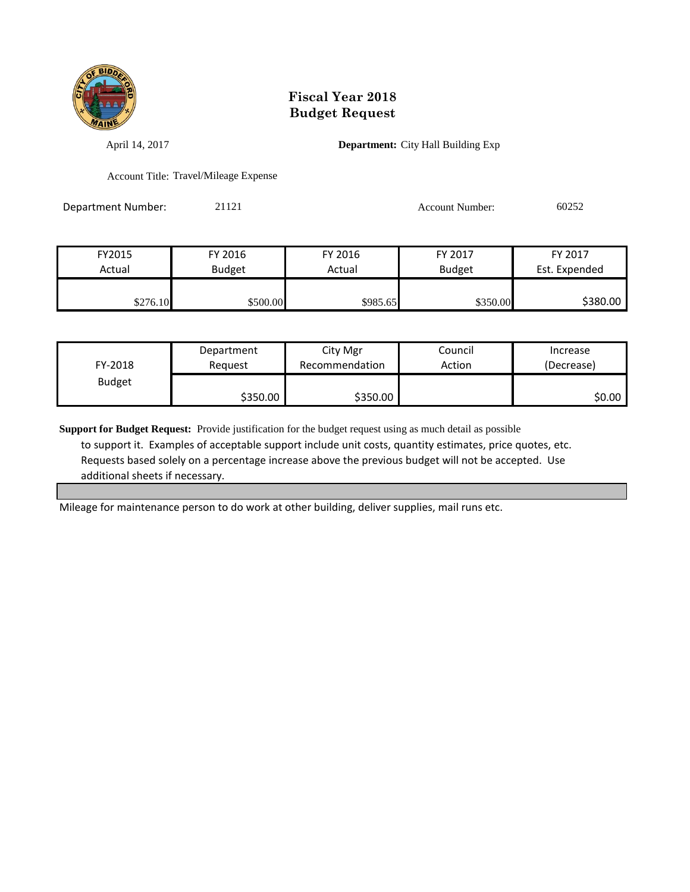

April 14, 2017 **Department:** City Hall Building Exp

Account Title: Travel/Mileage Expense

Department Number: 21121 21121 Account Number: 60252

FY2015 FY 2016 FY 2016 FY 2017 FY 2017 Actual | Budget | Actual | Budget Est. Expended  $$276.10$   $$500.00$   $$985.65$   $$350.00$  \$380.00

| FY-2018       | Department | City Mgr       | Council | Increase   |
|---------------|------------|----------------|---------|------------|
|               | Reguest    | Recommendation | Action  | (Decrease) |
| <b>Budget</b> | \$350.00   | \$350.00       |         | \$0.00     |

**Support for Budget Request:** Provide justification for the budget request using as much detail as possible to support it. Examples of acceptable support include unit costs, quantity estimates, price quotes, etc. Requests based solely on a percentage increase above the previous budget will not be accepted. Use additional sheets if necessary.

Mileage for maintenance person to do work at other building, deliver supplies, mail runs etc.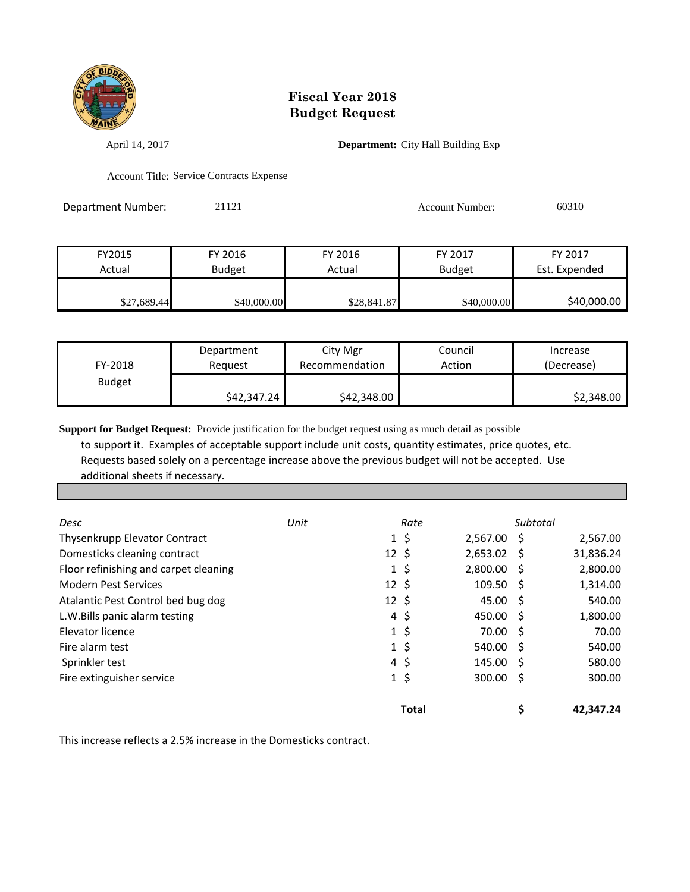

April 14, 2017 **Department:** City Hall Building Exp

Account Title: Service Contracts Expense

Department Number: 21121 21121 Account Number: 60310

| FY2015      | FY 2016       | FY 2016     | FY 2017       | FY 2017       |
|-------------|---------------|-------------|---------------|---------------|
| Actual      | <b>Budget</b> | Actual      | <b>Budget</b> | Est. Expended |
|             |               |             |               |               |
| \$27,689.44 | \$40,000.00   | \$28,841.87 | \$40,000.00   | \$40,000.00   |

| FY-2018       | Department  | City Mgr       | Council | Increase   |
|---------------|-------------|----------------|---------|------------|
|               | Reauest     | Recommendation | Action  | (Decrease) |
| <b>Budget</b> | \$42,347.24 | \$42,348.00    |         | \$2,348.00 |

**Support for Budget Request:** Provide justification for the budget request using as much detail as possible to support it. Examples of acceptable support include unit costs, quantity estimates, price quotes, etc. Requests based solely on a percentage increase above the previous budget will not be accepted. Use additional sheets if necessary.

| Desc                                  | Unit | Rate               |                      | Subtotal |           |
|---------------------------------------|------|--------------------|----------------------|----------|-----------|
| Thysenkrupp Elevator Contract         |      | $1\;$ \$           | 2,567.00 \$          |          | 2,567.00  |
| Domesticks cleaning contract          |      | $12 \;$ \$         | $2,653.02$ \$        |          | 31,836.24 |
| Floor refinishing and carpet cleaning |      | $1\,$ \$           | $2,800.00$ \$        |          | 2,800.00  |
| <b>Modern Pest Services</b>           |      | $12 \;$ \$         | $109.50 \; \text{S}$ |          | 1,314.00  |
| Atalantic Pest Control bed bug dog    |      | $12 \;$ \$         | $45.00\quad$ \$      |          | 540.00    |
| L.W.Bills panic alarm testing         |      | $4\;$ \$           | 450.00 \$            |          | 1,800.00  |
| Elevator licence                      |      | $1\,$ \$           | 70.00                | - S      | 70.00     |
| Fire alarm test                       |      | $1\,$ \$           | 540.00 \$            |          | 540.00    |
| Sprinkler test                        |      | $4\;$ \$           | 145.00 \$            |          | 580.00    |
| Fire extinguisher service             |      | \$<br>$\mathbf{1}$ | 300.00               | - S      | 300.00    |
|                                       |      | <b>Total</b>       |                      |          | 42.347.24 |

This increase reflects a 2.5% increase in the Domesticks contract.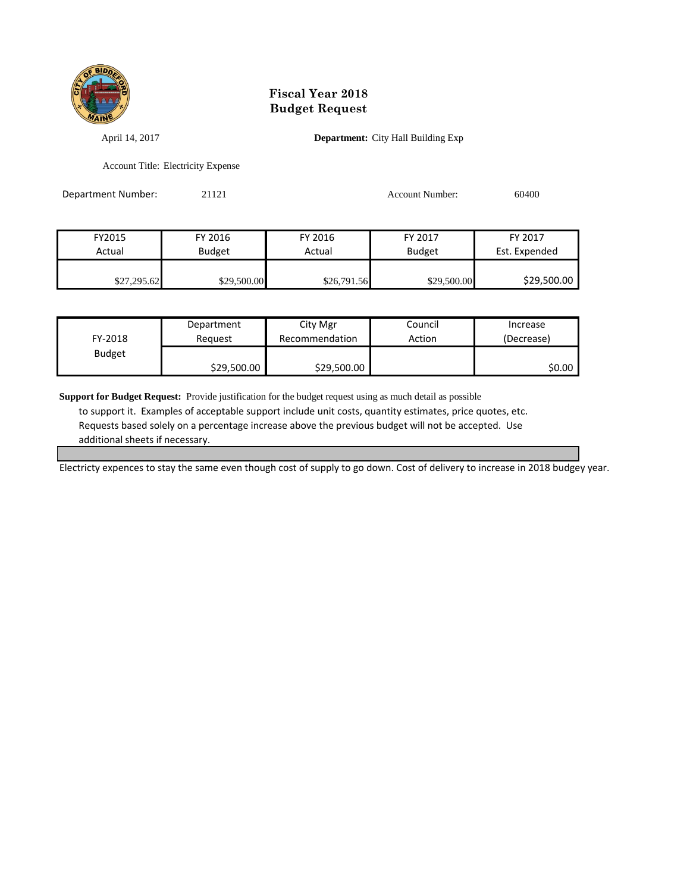

April 14, 2017 **Department:** City Hall Building Exp

Account Title: Electricity Expense

| Department Number: | 21121         |             | <b>Account Number:</b> | 60400         |
|--------------------|---------------|-------------|------------------------|---------------|
|                    |               |             |                        |               |
| FY2015             | FY 2016       | FY 2016     | FY 2017                | FY 2017       |
| Actual             | <b>Budget</b> | Actual      | <b>Budget</b>          | Est. Expended |
| \$27,295.62        | \$29,500.00   | \$26,791.56 | \$29,500.00            | \$29,500.00   |

| FY-2018       | Department  | City Mgr       | Council | Increase   |
|---------------|-------------|----------------|---------|------------|
|               | Reauest     | Recommendation | Action  | (Decrease) |
| <b>Budget</b> | \$29,500.00 | \$29,500.00    |         | \$0.00     |

**Support for Budget Request:** Provide justification for the budget request using as much detail as possible to support it. Examples of acceptable support include unit costs, quantity estimates, price quotes, etc. Requests based solely on a percentage increase above the previous budget will not be accepted. Use

additional sheets if necessary.

Electricty expences to stay the same even though cost of supply to go down. Cost of delivery to increase in 2018 budgey year.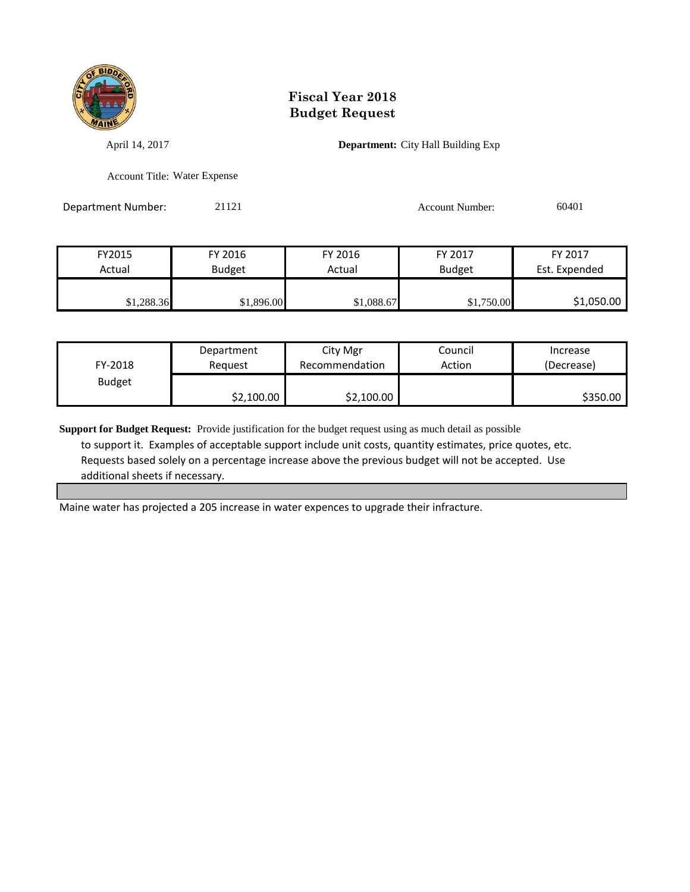

April 14, 2017 **Department:** City Hall Building Exp

Account Title: Water Expense

Department Number: 21121 21121 Account Number: 60401

| FY2015     | FY 2016       | FY 2016    | FY 2017       | FY 2017       |
|------------|---------------|------------|---------------|---------------|
| Actual     | <b>Budget</b> | Actual     | <b>Budget</b> | Est. Expended |
|            |               |            |               |               |
| \$1,288.36 | \$1,896.00    | \$1,088.67 | \$1,750.00    | \$1,050.00    |

| FY-2018       | Department | City Mgr       | Council | Increase   |
|---------------|------------|----------------|---------|------------|
|               | Reauest    | Recommendation | Action  | (Decrease) |
| <b>Budget</b> | \$2,100.00 | \$2,100.00     |         | \$350.00   |

**Support for Budget Request:** Provide justification for the budget request using as much detail as possible to support it. Examples of acceptable support include unit costs, quantity estimates, price quotes, etc. Requests based solely on a percentage increase above the previous budget will not be accepted. Use additional sheets if necessary.

Maine water has projected a 205 increase in water expences to upgrade their infracture.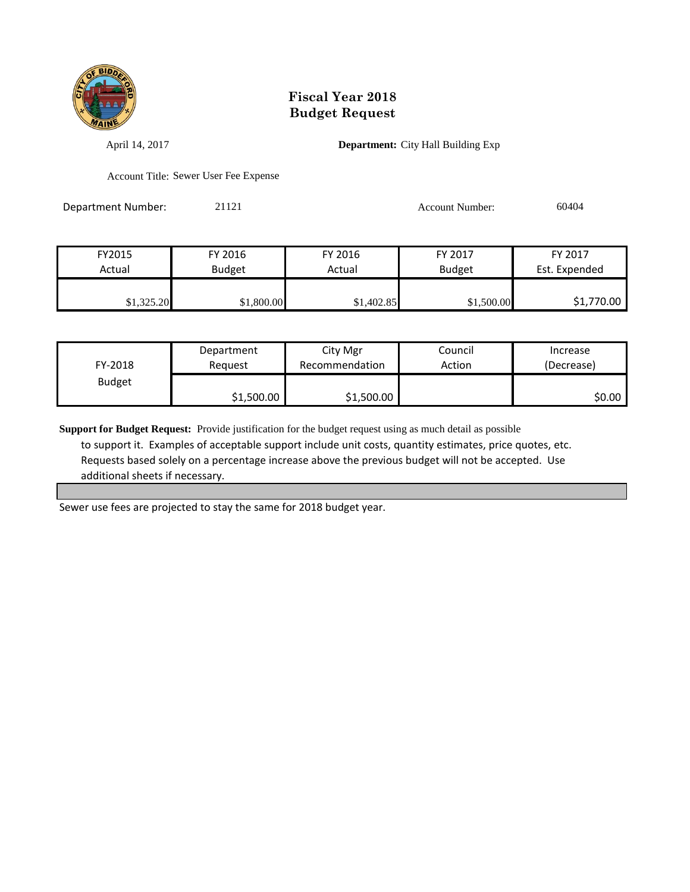

April 14, 2017 **Department:** City Hall Building Exp

Account Title: Sewer User Fee Expense

Department Number: 21121 21121 Account Number: 60404

| FY2015     | FY 2016       | FY 2016    | FY 2017       | FY 2017       |
|------------|---------------|------------|---------------|---------------|
| Actual     | <b>Budget</b> | Actual     | <b>Budget</b> | Est. Expended |
|            |               |            |               |               |
| \$1,325.20 | \$1,800.00    | \$1,402.85 | \$1,500.00    | \$1,770.00    |

| FY-2018       | Department | City Mgr       | Council | Increase   |
|---------------|------------|----------------|---------|------------|
|               | Reauest    | Recommendation | Action  | (Decrease) |
| <b>Budget</b> | \$1,500.00 | \$1,500.00     |         | \$0.00     |

**Support for Budget Request:** Provide justification for the budget request using as much detail as possible to support it. Examples of acceptable support include unit costs, quantity estimates, price quotes, etc. Requests based solely on a percentage increase above the previous budget will not be accepted. Use additional sheets if necessary.

Sewer use fees are projected to stay the same for 2018 budget year.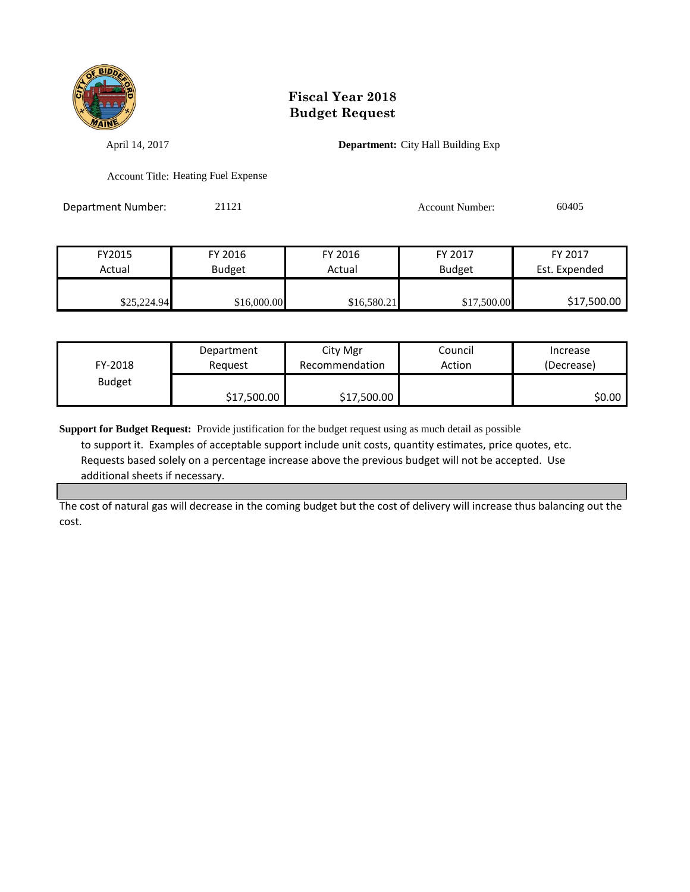

April 14, 2017 **Department:** City Hall Building Exp

Account Title: Heating Fuel Expense

Department Number: 21121 21121 Account Number: 60405

| FY2015      | FY 2016       | FY 2016     | FY 2017       | FY 2017       |
|-------------|---------------|-------------|---------------|---------------|
| Actual      | <b>Budget</b> | Actual      | <b>Budget</b> | Est. Expended |
|             |               |             |               |               |
| \$25,224.94 | \$16,000.00   | \$16,580.21 | \$17,500.00   | \$17,500.00   |

| FY-2018       | Department  | City Mgr       | Council | Increase   |
|---------------|-------------|----------------|---------|------------|
|               | Reauest     | Recommendation | Action  | (Decrease) |
| <b>Budget</b> | \$17,500.00 | \$17,500.00    |         | SO.OO I    |

**Support for Budget Request:** Provide justification for the budget request using as much detail as possible

 to support it. Examples of acceptable support include unit costs, quantity estimates, price quotes, etc. Requests based solely on a percentage increase above the previous budget will not be accepted. Use additional sheets if necessary.

The cost of natural gas will decrease in the coming budget but the cost of delivery will increase thus balancing out the cost.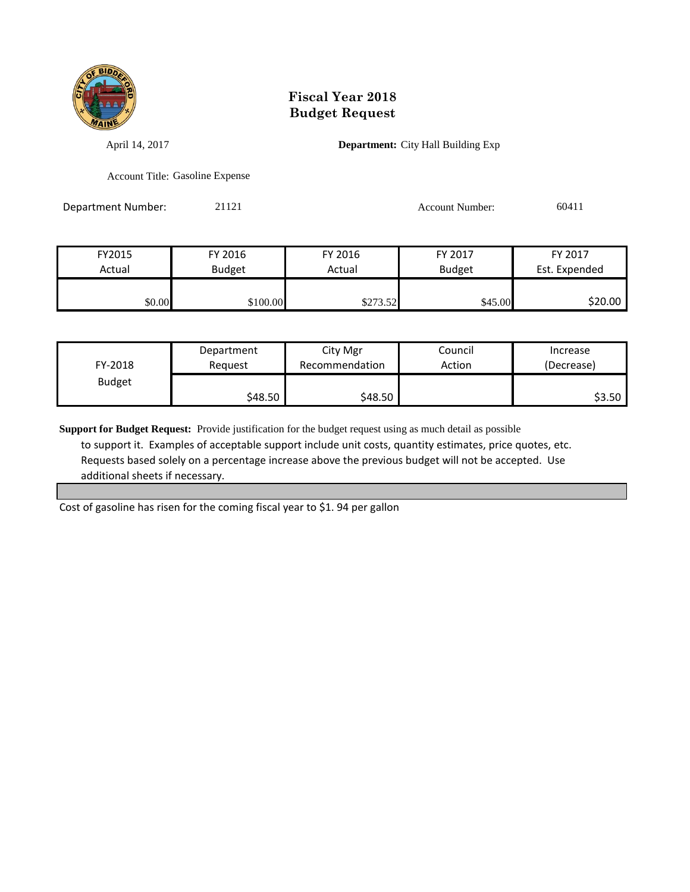

April 14, 2017 **Department:** City Hall Building Exp

Account Title: Gasoline Expense

Department Number: 21121 21121 Account Number: 60411

| FY2015 | FY 2016       | FY 2016  | FY 2017       | FY 2017       |
|--------|---------------|----------|---------------|---------------|
| Actual | <b>Budget</b> | Actual   | <b>Budget</b> | Est. Expended |
|        |               |          |               |               |
| \$0.00 | \$100.00      | \$273.52 | \$45.00       | \$20.00       |

| FY-2018       | Department | City Mgr       | Council | Increase   |
|---------------|------------|----------------|---------|------------|
|               | Reauest    | Recommendation | Action  | (Decrease) |
| <b>Budget</b> | \$48.50    | \$48.50        |         | \$3.50     |

**Support for Budget Request:** Provide justification for the budget request using as much detail as possible to support it. Examples of acceptable support include unit costs, quantity estimates, price quotes, etc. Requests based solely on a percentage increase above the previous budget will not be accepted. Use additional sheets if necessary.

Cost of gasoline has risen for the coming fiscal year to \$1. 94 per gallon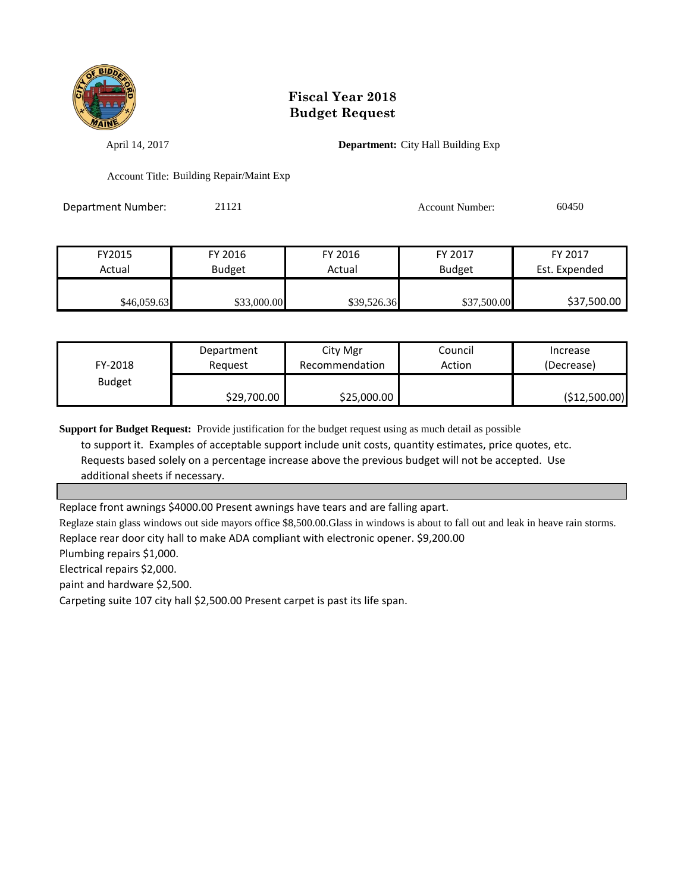

April 14, 2017 **Department:** City Hall Building Exp

Account Title: Building Repair/Maint Exp

Department Number: 21121 Account Number: 60450

| FY2015      | FY 2016     | FY 2016     | FY 2017       | FY 2017       |
|-------------|-------------|-------------|---------------|---------------|
| Actual      | Budget      | Actual      | <b>Budget</b> | Est. Expended |
|             |             |             |               |               |
| \$46,059.63 | \$33,000.00 | \$39,526.36 | \$37,500.00   | \$37,500.00   |

| FY-2018       | Department  | City Mgr       | Council | Increase      |
|---------------|-------------|----------------|---------|---------------|
|               | Reauest     | Recommendation | Action  | (Decrease)    |
| <b>Budget</b> | \$29,700.00 | \$25,000.00    |         | (\$12,500.00) |

**Support for Budget Request:** Provide justification for the budget request using as much detail as possible

 to support it. Examples of acceptable support include unit costs, quantity estimates, price quotes, etc. Requests based solely on a percentage increase above the previous budget will not be accepted. Use additional sheets if necessary.

Replace front awnings \$4000.00 Present awnings have tears and are falling apart.

Reglaze stain glass windows out side mayors office \$8,500.00.Glass in windows is about to fall out and leak in heave rain storms. Replace rear door city hall to make ADA compliant with electronic opener. \$9,200.00

Plumbing repairs \$1,000.

Electrical repairs \$2,000.

paint and hardware \$2,500.

Carpeting suite 107 city hall \$2,500.00 Present carpet is past its life span.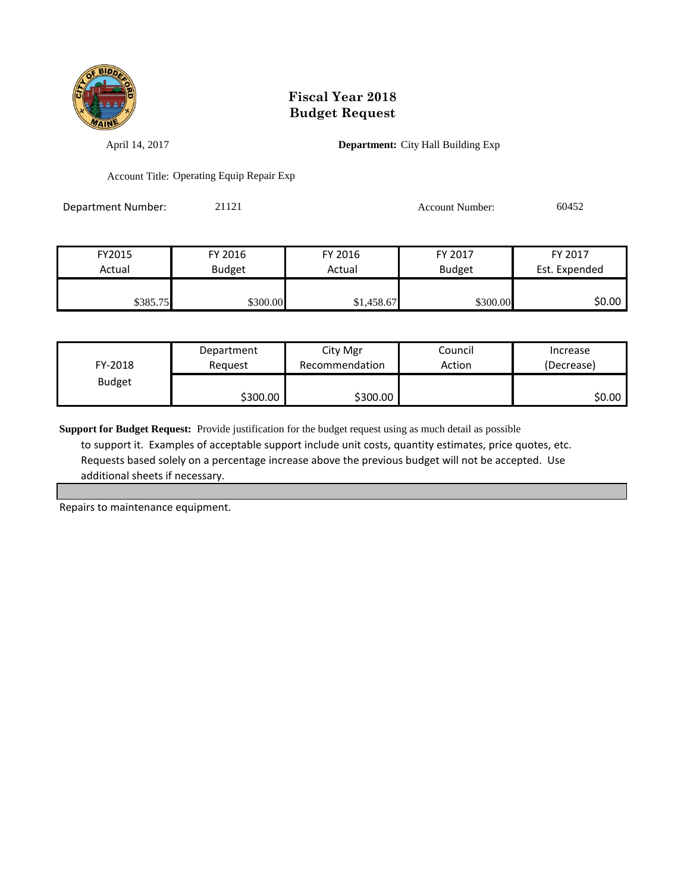

April 14, 2017 **Department:** City Hall Building Exp

Account Title: Operating Equip Repair Exp

Department Number: 21121 21121 Account Number: 60452

| FY2015   | FY 2016       | FY 2016    | FY 2017       | FY 2017       |
|----------|---------------|------------|---------------|---------------|
| Actual   | <b>Budget</b> | Actual     | <b>Budget</b> | Est. Expended |
|          |               |            |               |               |
| \$385.75 | \$300.00      | \$1,458.67 | \$300.00      | \$0.00        |

| FY-2018       | Department | City Mgr       | Council | Increase   |
|---------------|------------|----------------|---------|------------|
|               | Reauest    | Recommendation | Action  | (Decrease) |
| <b>Budget</b> | \$300.00   | \$300.00       |         | \$0.00     |

**Support for Budget Request:** Provide justification for the budget request using as much detail as possible to support it. Examples of acceptable support include unit costs, quantity estimates, price quotes, etc. Requests based solely on a percentage increase above the previous budget will not be accepted. Use additional sheets if necessary.

Repairs to maintenance equipment.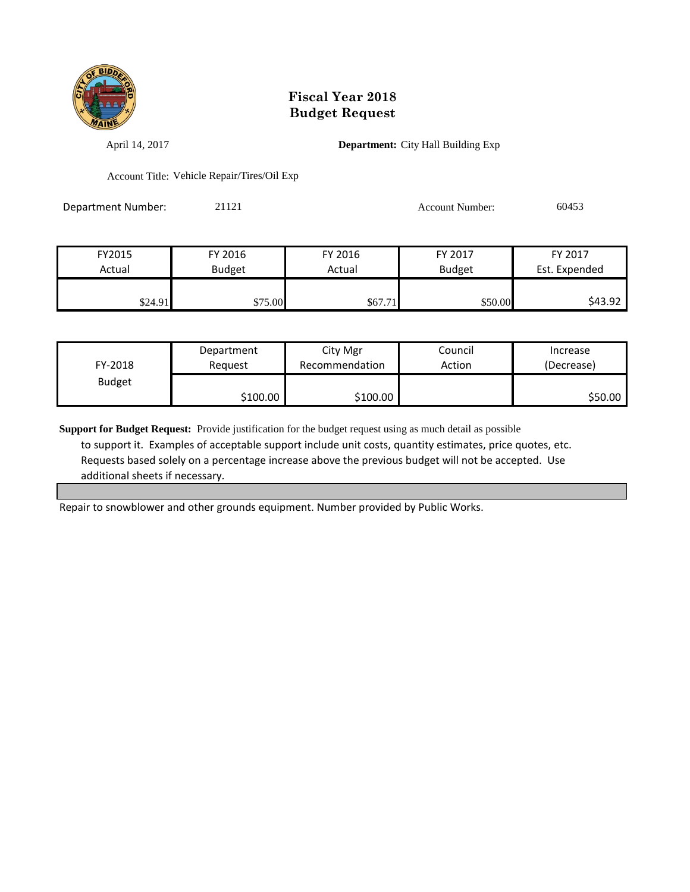

April 14, 2017 **Department:** City Hall Building Exp

Account Title: Vehicle Repair/Tires/Oil Exp

| Department Number: | 21121 | Account Number: | 60453 |
|--------------------|-------|-----------------|-------|
|                    |       |                 |       |

| FY2015  | FY 2016       | FY 2016 | FY 2017       | FY 2017       |
|---------|---------------|---------|---------------|---------------|
| Actual  | <b>Budget</b> | Actual  | <b>Budget</b> | Est. Expended |
|         |               |         |               |               |
| \$24.91 | \$75.00       | \$67.71 | \$50.00       | \$43.92       |

| FY-2018       | Department | City Mgr       | Council | Increase   |
|---------------|------------|----------------|---------|------------|
|               | Reauest    | Recommendation | Action  | (Decrease) |
| <b>Budget</b> | \$100.00   | \$100.00       |         | \$50.00    |

**Support for Budget Request:** Provide justification for the budget request using as much detail as possible to support it. Examples of acceptable support include unit costs, quantity estimates, price quotes, etc. Requests based solely on a percentage increase above the previous budget will not be accepted. Use additional sheets if necessary.

Repair to snowblower and other grounds equipment. Number provided by Public Works.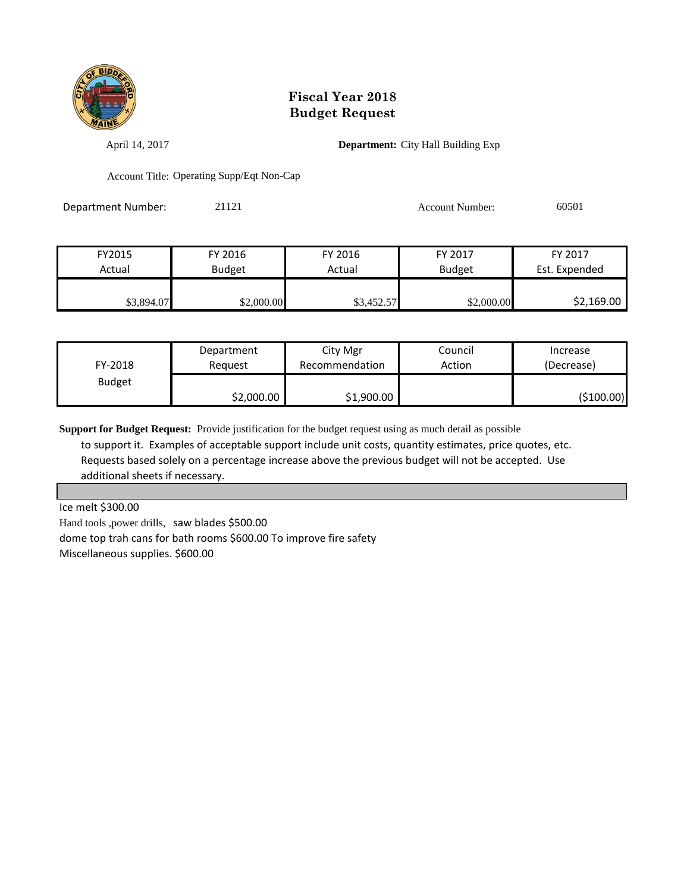

April 14, 2017 **Department:** City Hall Building Exp

Account Title: Operating Supp/Eqt Non-Cap

Department Number: 21121 21121 Account Number: 60501

| FY2015     | FY 2016       | FY 2016    | FY 2017    | FY 2017       |
|------------|---------------|------------|------------|---------------|
| Actual     | <b>Budget</b> | Actual     | Budget     | Est. Expended |
| \$3,894.07 | \$2,000.00    | \$3,452.57 | \$2,000.00 | \$2,169.00    |

| FY-2018       | Department | City Mgr       | Council | Increase    |
|---------------|------------|----------------|---------|-------------|
|               | Reguest    | Recommendation | Action  | (Decrease)  |
| <b>Budget</b> | \$2,000.00 | \$1,900.00     |         | ( \$100.00) |

**Support for Budget Request:** Provide justification for the budget request using as much detail as possible to support it. Examples of acceptable support include unit costs, quantity estimates, price quotes, etc. Requests based solely on a percentage increase above the previous budget will not be accepted. Use additional sheets if necessary.

Ice melt \$300.00

Hand tools ,power drills, saw blades \$500.00 dome top trah cans for bath rooms \$600.00 To improve fire safety Miscellaneous supplies. \$600.00